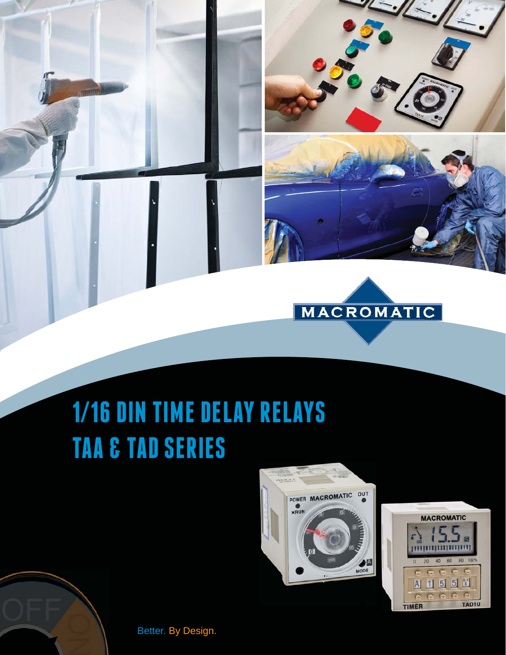## **1/16 DIN TIME DELAY RELAYS TAA & TAD SERIES**



MACROMATIC





Better. By Design.